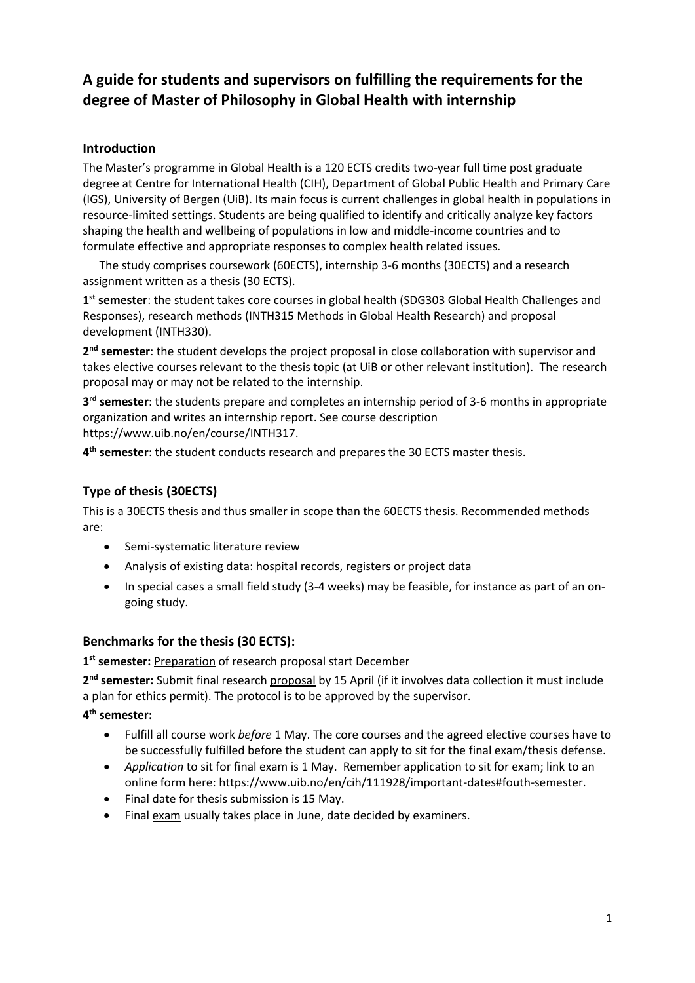# **A guide for students and supervisors on fulfilling the requirements for the degree of Master of Philosophy in Global Health with internship**

# **Introduction**

The Master's programme in Global Health is a 120 ECTS credits two-year full time post graduate degree at Centre for International Health (CIH), Department of Global Public Health and Primary Care (IGS), University of Bergen (UiB). Its main focus is current challenges in global health in populations in resource-limited settings. Students are being qualified to identify and critically analyze key factors shaping the health and wellbeing of populations in low and middle-income countries and to formulate effective and appropriate responses to complex health related issues.

The study comprises coursework (60ECTS), internship 3-6 months (30ECTS) and a research assignment written as a thesis (30 ECTS).

**1 st semester**: the student takes core courses in global health (SDG303 Global Health Challenges and Responses), research methods (INTH315 Methods in Global Health Research) and proposal development (INTH330).

**2 nd semester**: the student develops the project proposal in close collaboration with supervisor and takes elective courses relevant to the thesis topic (at UiB or other relevant institution). The research proposal may or may not be related to the internship.

**3 rd semester**: the students prepare and completes an internship period of 3-6 months in appropriate organization and writes an internship report. See course description https://www.uib.no/en/course/INTH317.

**4 th semester**: the student conducts research and prepares the 30 ECTS master thesis.

# **Type of thesis (30ECTS)**

This is a 30ECTS thesis and thus smaller in scope than the 60ECTS thesis. Recommended methods are:

- Semi-systematic literature review
- Analysis of existing data: hospital records, registers or project data
- In special cases a small field study (3-4 weeks) may be feasible, for instance as part of an ongoing study.

# **Benchmarks for the thesis (30 ECTS):**

**1 st semester:** Preparation of research proposal start December

**2 nd semester:** Submit final research proposal by 15 April (if it involves data collection it must include a plan for ethics permit). The protocol is to be approved by the supervisor.

**4 th semester:**

- Fulfill all course work *before* 1 May. The core courses and the agreed elective courses have to be successfully fulfilled before the student can apply to sit for the final exam/thesis defense.
- *Application* to sit for final exam is 1 May. Remember application to sit for exam; link to an online form here: https://www.uib.no/en/cih/111928/important-dates#fouth-semester.
- Final date for thesis submission is 15 May.
- Final exam usually takes place in June, date decided by examiners.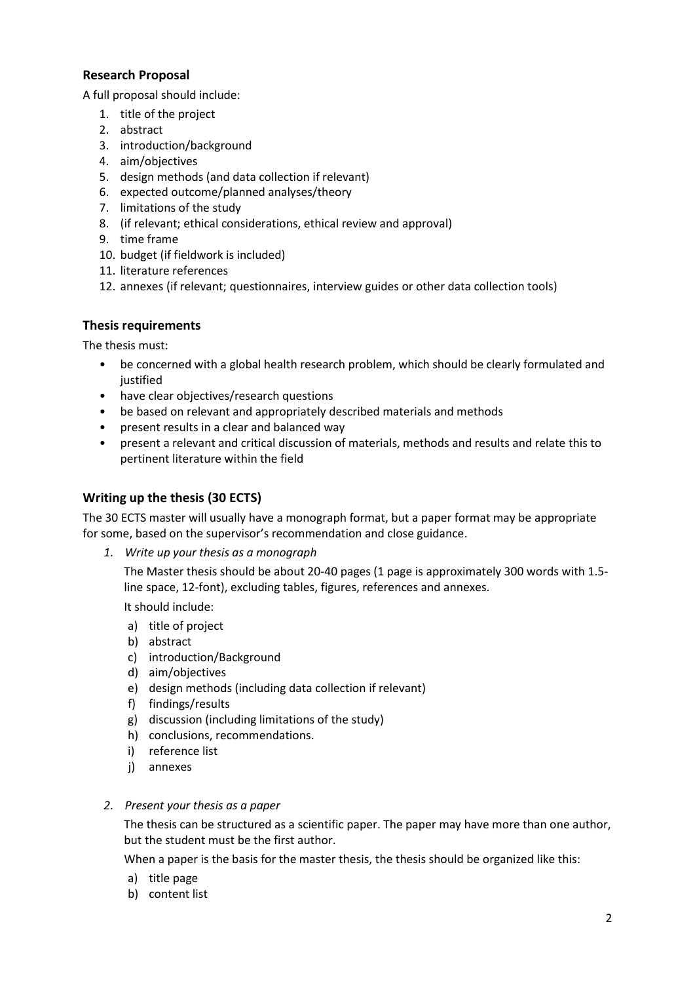## **Research Proposal**

A full proposal should include:

- 1. title of the project
- 2. abstract
- 3. introduction/background
- 4. aim/objectives
- 5. design methods (and data collection if relevant)
- 6. expected outcome/planned analyses/theory
- 7. limitations of the study
- 8. (if relevant; ethical considerations, ethical review and approval)
- 9. time frame
- 10. budget (if fieldwork is included)
- 11. literature references
- 12. annexes (if relevant; questionnaires, interview guides or other data collection tools)

#### **Thesis requirements**

The thesis must:

- be concerned with a global health research problem, which should be clearly formulated and iustified
- have clear objectives/research questions
- be based on relevant and appropriately described materials and methods
- present results in a clear and balanced way
- present a relevant and critical discussion of materials, methods and results and relate this to pertinent literature within the field

### **Writing up the thesis (30 ECTS)**

The 30 ECTS master will usually have a monograph format, but a paper format may be appropriate for some, based on the supervisor's recommendation and close guidance.

*1. Write up your thesis as a monograph* 

The Master thesis should be about 20-40 pages (1 page is approximately 300 words with 1.5 line space, 12-font), excluding tables, figures, references and annexes.

It should include:

- a) title of project
- b) abstract
- c) introduction/Background
- d) aim/objectives
- e) design methods (including data collection if relevant)
- f) findings/results
- g) discussion (including limitations of the study)
- h) conclusions, recommendations.
- i) reference list
- j) annexes
- *2. Present your thesis as a paper*

The thesis can be structured as a scientific paper. The paper may have more than one author, but the student must be the first author.

When a paper is the basis for the master thesis, the thesis should be organized like this:

- a) title page
- b) content list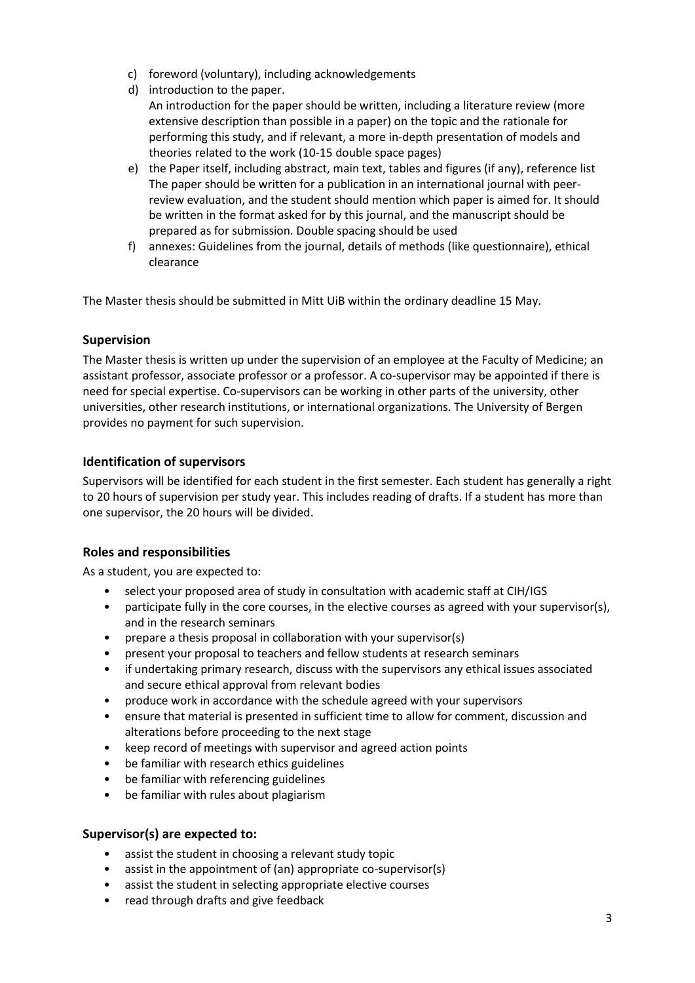- c) foreword (voluntary), including acknowledgements
- d) introduction to the paper. An introduction for the paper should be written, including a literature review (more extensive description than possible in a paper) on the topic and the rationale for performing this study, and if relevant, a more in-depth presentation of models and theories related to the work (10-15 double space pages)
- e) the Paper itself, including abstract, main text, tables and figures (if any), reference list The paper should be written for a publication in an international journal with peerreview evaluation, and the student should mention which paper is aimed for. It should be written in the format asked for by this journal, and the manuscript should be prepared as for submission. Double spacing should be used
- f) annexes: Guidelines from the journal, details of methods (like questionnaire), ethical clearance

The Master thesis should be submitted in Mitt UiB within the ordinary deadline 15 May.

### **Supervision**

The Master thesis is written up under the supervision of an employee at the Faculty of Medicine; an assistant professor, associate professor or a professor. A co-supervisor may be appointed if there is need for special expertise. Co-supervisors can be working in other parts of the university, other universities, other research institutions, or international organizations. The University of Bergen provides no payment for such supervision.

# **Identification of supervisors**

Supervisors will be identified for each student in the first semester. Each student has generally a right to 20 hours of supervision per study year. This includes reading of drafts. If a student has more than one supervisor, the 20 hours will be divided.

#### **Roles and responsibilities**

As a student, you are expected to:

- select your proposed area of study in consultation with academic staff at CIH/IGS
- participate fully in the core courses, in the elective courses as agreed with your supervisor(s), and in the research seminars
- prepare a thesis proposal in collaboration with your supervisor(s)
- present your proposal to teachers and fellow students at research seminars
- if undertaking primary research, discuss with the supervisors any ethical issues associated and secure ethical approval from relevant bodies
- produce work in accordance with the schedule agreed with your supervisors
- ensure that material is presented in sufficient time to allow for comment, discussion and alterations before proceeding to the next stage
- keep record of meetings with supervisor and agreed action points
- be familiar with research ethics guidelines
- be familiar with referencing guidelines
- be familiar with rules about plagiarism

#### **Supervisor(s) are expected to:**

- assist the student in choosing a relevant study topic
- assist in the appointment of (an) appropriate co-supervisor(s)
- assist the student in selecting appropriate elective courses
- read through drafts and give feedback